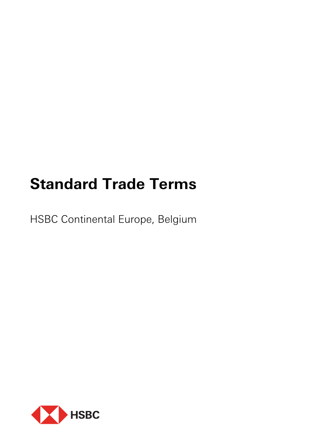# **Standard Trade Terms**

HSBC Continental Europe, Belgium

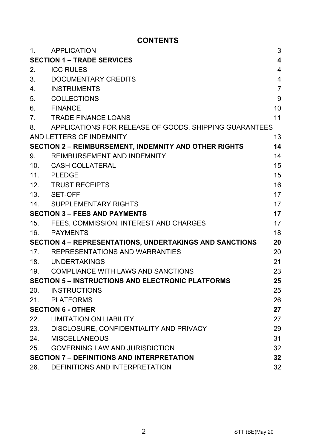# **CONTENTS**

| 1.                                                             | <b>APPLICATION</b>                                           | 3              |
|----------------------------------------------------------------|--------------------------------------------------------------|----------------|
| <b>SECTION 1 - TRADE SERVICES</b><br>4                         |                                                              |                |
| 2.                                                             | <b>ICC RULES</b>                                             | 4              |
| 3.                                                             | DOCUMENTARY CREDITS                                          | $\overline{4}$ |
| 4.                                                             | <b>INSTRUMENTS</b>                                           | $\overline{7}$ |
| 5.                                                             | COLLECTIONS                                                  | 9              |
| 6.                                                             | <b>FINANCE</b>                                               | 10             |
| 7.                                                             | <b>TRADE FINANCE LOANS</b>                                   | 11             |
| 8.                                                             | APPLICATIONS FOR RELEASE OF GOODS, SHIPPING GUARANTEES       |                |
|                                                                | AND LETTERS OF INDEMNITY                                     | 13             |
|                                                                | <b>SECTION 2 - REIMBURSEMENT, INDEMNITY AND OTHER RIGHTS</b> | 14             |
| 9.                                                             | REIMBURSEMENT AND INDEMNITY                                  | 14             |
| 10 <sub>1</sub>                                                | CASH COLLATERAL                                              | 15             |
|                                                                | 11. PLEDGE                                                   | 15             |
|                                                                | 12. TRUST RECEIPTS                                           | 16             |
|                                                                | 13. SET-OFF                                                  | 17             |
|                                                                | 14. SUPPLEMENTARY RIGHTS                                     | 17             |
| <b>SECTION 3 - FEES AND PAYMENTS</b>                           |                                                              | 17             |
| 15.                                                            | FEES. COMMISSION. INTEREST AND CHARGES                       | 17             |
| 16.                                                            | PAYMENTS                                                     | 18             |
| <b>SECTION 4 - REPRESENTATIONS, UNDERTAKINGS AND SANCTIONS</b> |                                                              | 20             |
| 17 <sub>1</sub>                                                | REPRESENTATIONS AND WARRANTIES                               | 20             |
|                                                                | 18. UNDERTAKINGS                                             | 21             |
|                                                                | 19. COMPLIANCE WITH LAWS AND SANCTIONS                       | 23             |
| <b>SECTION 5 - INSTRUCTIONS AND ELECTRONIC PLATFORMS</b><br>25 |                                                              |                |
| 20.                                                            | <b>INSTRUCTIONS</b>                                          | 25             |
| 21.                                                            | PLATFORMS                                                    | 26             |
| <b>SECTION 6 - OTHER</b>                                       |                                                              | 27             |
| 22.                                                            | <b>LIMITATION ON LIABILITY</b>                               | 27             |
|                                                                | 23. DISCLOSURE, CONFIDENTIALITY AND PRIVACY                  | 29             |
| 24.                                                            | <b>MISCELLANEOUS</b>                                         | 31             |
| 25.                                                            | <b>GOVERNING LAW AND JURISDICTION</b>                        | 32             |
| <b>SECTION 7 - DEFINITIONS AND INTERPRETATION</b>              |                                                              | 32             |
| 26.                                                            | DEFINITIONS AND INTERPRETATION                               | 32             |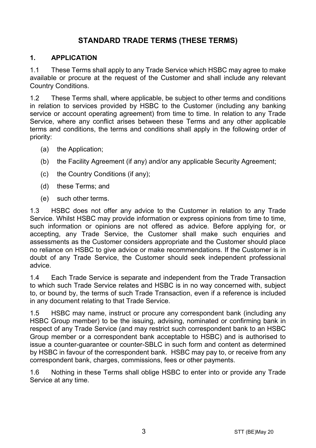# **STANDARD TRADE TERMS (THESE TERMS)**

#### **1. APPLICATION**

1.1 These Terms shall apply to any Trade Service which HSBC may agree to make available or procure at the request of the Customer and shall include any relevant Country Conditions.

1.2 These Terms shall, where applicable, be subject to other terms and conditions in relation to services provided by HSBC to the Customer (including any banking service or account operating agreement) from time to time. In relation to any Trade Service, where any conflict arises between these Terms and any other applicable terms and conditions, the terms and conditions shall apply in the following order of priority:

- (a) the Application;
- (b) the Facility Agreement (if any) and/or any applicable Security Agreement;
- (c) the Country Conditions (if any);
- (d) these Terms; and
- (e) such other terms.

1.3 HSBC does not offer any advice to the Customer in relation to any Trade Service. Whilst HSBC may provide information or express opinions from time to time, such information or opinions are not offered as advice. Before applying for, or accepting, any Trade Service, the Customer shall make such enquiries and assessments as the Customer considers appropriate and the Customer should place no reliance on HSBC to give advice or make recommendations. If the Customer is in doubt of any Trade Service, the Customer should seek independent professional advice.

1.4 Each Trade Service is separate and independent from the Trade Transaction to which such Trade Service relates and HSBC is in no way concerned with, subject to, or bound by, the terms of such Trade Transaction, even if a reference is included in any document relating to that Trade Service.

1.5 HSBC may name, instruct or procure any correspondent bank (including any HSBC Group member) to be the issuing, advising, nominated or confirming bank in respect of any Trade Service (and may restrict such correspondent bank to an HSBC Group member or a correspondent bank acceptable to HSBC) and is authorised to issue a counter-guarantee or counter-SBLC in such form and content as determined by HSBC in favour of the correspondent bank. HSBC may pay to, or receive from any correspondent bank, charges, commissions, fees or other payments.

1.6 Nothing in these Terms shall oblige HSBC to enter into or provide any Trade Service at any time.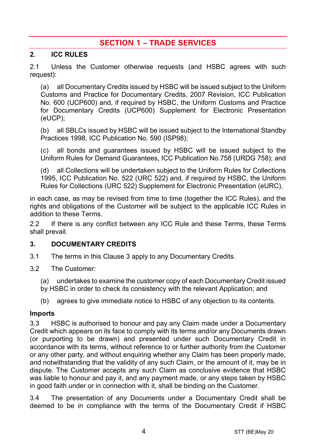# **SECTION 1 – TRADE SERVICES**

#### **2. ICC RULES**

2.1 Unless the Customer otherwise requests (and HSBC agrees with such request):

(a) all Documentary Credits issued by HSBC will be issued subject to the Uniform Customs and Practice for Documentary Credits, 2007 Revision, ICC Publication No. 600 (UCP600) and, if required by HSBC, the Uniform Customs and Practice for Documentary Credits (UCP600) Supplement for Electronic Presentation (eUCP);

(b) all SBLCs issued by HSBC will be issued subject to the International Standby Practices 1998, ICC Publication No. 590 (ISP98);

(c) all bonds and guarantees issued by HSBC will be issued subject to the Uniform Rules for Demand Guarantees, ICC Publication No.758 (URDG 758); and

(d) all Collections will be undertaken subject to the Uniform Rules for Collections 1995, ICC Publication No. 522 (URC 522) and, if required by HSBC, the Uniform Rules for Collections (URC 522) Supplement for Electronic Presentation (eURC),

in each case, as may be revised from time to time (together the ICC Rules), and the rights and obligations of the Customer will be subject to the applicable ICC Rules in addition to these Terms.

2.2 If there is any conflict between any ICC Rule and these Terms, these Terms shall prevail.

#### <span id="page-3-0"></span>**3. DOCUMENTARY CREDITS**

- 3.1 The terms in this Claus[e 3](#page-3-0) apply to any Documentary Credits.
- 3.2 The Customer:
	- (a) undertakes to examine the customer copy of each Documentary Credit issued
	- by HSBC in order to check its consistency with the relevant Application; and
	- (b) agrees to give immediate notice to HSBC of any objection to its contents.

#### **Imports**

3.3 HSBC is authorised to honour and pay any Claim made under a Documentary Credit which appears on its face to comply with its terms and/or any Documents drawn (or purporting to be drawn) and presented under such Documentary Credit in accordance with its terms, without reference to or further authority from the Customer or any other party, and without enquiring whether any Claim has been properly made, and notwithstanding that the validity of any such Claim, or the amount of it, may be in dispute. The Customer accepts any such Claim as conclusive evidence that HSBC was liable to honour and pay it, and any payment made, or any steps taken by HSBC in good faith under or in connection with it, shall be binding on the Customer.

3.4 The presentation of any Documents under a Documentary Credit shall be deemed to be in compliance with the terms of the Documentary Credit if HSBC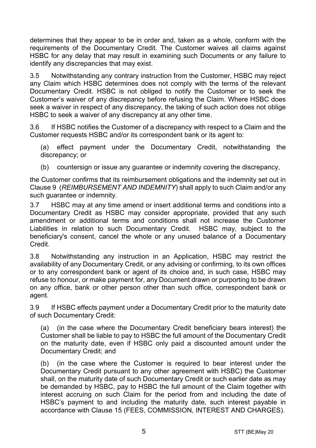determines that they appear to be in order and, taken as a whole, conform with the requirements of the Documentary Credit. The Customer waives all claims against HSBC for any delay that may result in examining such Documents or any failure to identify any discrepancies that may exist.

3.5 Notwithstanding any contrary instruction from the Customer, HSBC may reject any Claim which HSBC determines does not comply with the terms of the relevant Documentary Credit. HSBC is not obliged to notify the Customer or to seek the Customer's waiver of any discrepancy before refusing the Claim. Where HSBC does seek a waiver in respect of any discrepancy, the taking of such action does not oblige HSBC to seek a waiver of any discrepancy at any other time.

3.6 If HSBC notifies the Customer of a discrepancy with respect to a Claim and the Customer requests HSBC and/or its correspondent bank or its agent to:

(a) effect payment under the Documentary Credit, notwithstanding the discrepancy; or

(b) countersign or issue any guarantee or indemnity covering the discrepancy,

the Customer confirms that its reimbursement obligations and the indemnity set out in Claus[e 9](#page-13-0) (*[REIMBURSEMENT AND INDEMNITY](#page-13-0)*) shall apply to such Claim and/or any such guarantee or indemnity.

3.7 HSBC may at any time amend or insert additional terms and conditions into a Documentary Credit as HSBC may consider appropriate, provided that any such amendment or additional terms and conditions shall not increase the Customer Liabilities in relation to such Documentary Credit. HSBC may, subject to the beneficiary's consent, cancel the whole or any unused balance of a Documentary Credit.

3.8 Notwithstanding any instruction in an Application, HSBC may restrict the availability of any Documentary Credit, or any advising or confirming, to its own offices or to any correspondent bank or agent of its choice and, in such case, HSBC may refuse to honour, or make payment for, any Document drawn or purporting to be drawn on any office, bank or other person other than such office, correspondent bank or agent.

3.9 If HSBC effects payment under a Documentary Credit prior to the maturity date of such Documentary Credit:

(a) (in the case where the Documentary Credit beneficiary bears interest) the Customer shall be liable to pay to HSBC the full amount of the Documentary Credit on the maturity date, even if HSBC only paid a discounted amount under the Documentary Credit; and

(b) (in the case where the Customer is required to bear interest under the Documentary Credit pursuant to any other agreement with HSBC) the Customer shall, on the maturity date of such Documentary Credit or such earlier date as may be demanded by HSBC, pay to HSBC the full amount of the Claim together with interest accruing on such Claim for the period from and including the date of HSBC's payment to and including the maturity date, such interest payable in accordance with Clause [15](#page-16-0) [\(FEES, COMMISSION, INTEREST AND CHARGES\)](#page-16-0).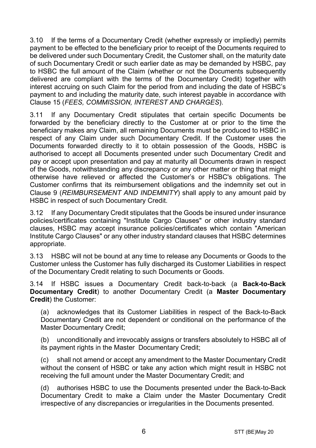3.10 If the terms of a Documentary Credit (whether expressly or impliedly) permits payment to be effected to the beneficiary prior to receipt of the Documents required to be delivered under such Documentary Credit, the Customer shall, on the maturity date of such Documentary Credit or such earlier date as may be demanded by HSBC, pay to HSBC the full amount of the Claim (whether or not the Documents subsequently delivered are compliant with the terms of the Documentary Credit) together with interest accruing on such Claim for the period from and including the date of HSBC's payment to and including the maturity date, such interest payable in accordance with Clause [15](#page-16-0) (*[FEES, COMMISSION, INTEREST AND CHARGES](#page-16-0)*).

3.11 If any Documentary Credit stipulates that certain specific Documents be forwarded by the beneficiary directly to the Customer at or prior to the time the beneficiary makes any Claim, all remaining Documents must be produced to HSBC in respect of any Claim under such Documentary Credit. If the Customer uses the Documents forwarded directly to it to obtain possession of the Goods, HSBC is authorised to accept all Documents presented under such Documentary Credit and pay or accept upon presentation and pay at maturity all Documents drawn in respect of the Goods, notwithstanding any discrepancy or any other matter or thing that might otherwise have relieved or affected the Customer's or HSBC's obligations. The Customer confirms that its reimbursement obligations and the indemnity set out in Clause [9](#page-13-0) (*[REIMBURSEMENT AND INDEMNITY](#page-13-0)*) shall apply to any amount paid by HSBC in respect of such Documentary Credit.

3.12 If any Documentary Credit stipulates that the Goods be insured under insurance policies/certificates containing "Institute Cargo Clauses" or other industry standard clauses, HSBC may accept insurance policies/certificates which contain "American Institute Cargo Clauses" or any other industry standard clauses that HSBC determines appropriate.

3.13 HSBC will not be bound at any time to release any Documents or Goods to the Customer unless the Customer has fully discharged its Customer Liabilities in respect of the Documentary Credit relating to such Documents or Goods.

<span id="page-5-0"></span>3.14 If HSBC issues a Documentary Credit back-to-back (a **Back-to-Back Documentary Credit**) to another Documentary Credit (a **Master Documentary Credit**) the Customer:

(a) acknowledges that its Customer Liabilities in respect of the Back-to-Back Documentary Credit are not dependent or conditional on the performance of the Master Documentary Credit;

(b) unconditionally and irrevocably assigns or transfers absolutely to HSBC all of its payment rights in the Master Documentary Credit;

(c) shall not amend or accept any amendment to the Master Documentary Credit without the consent of HSBC or take any action which might result in HSBC not receiving the full amount under the Master Documentary Credit; and

(d) authorises HSBC to use the Documents presented under the Back-to-Back Documentary Credit to make a Claim under the Master Documentary Credit irrespective of any discrepancies or irregularities in the Documents presented.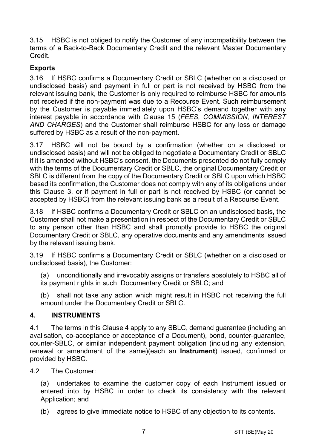3.15 HSBC is not obliged to notify the Customer of any incompatibility between the terms of a Back-to-Back Documentary Credit and the relevant Master Documentary Credit.

# **Exports**

3.16 If HSBC confirms a Documentary Credit or SBLC (whether on a disclosed or undisclosed basis) and payment in full or part is not received by HSBC from the relevant issuing bank, the Customer is only required to reimburse HSBC for amounts not received if the non-payment was due to a Recourse Event. Such reimbursement by the Customer is payable immediately upon HSBC's demand together with any interest payable in accordance with Clause [15](#page-16-0) (*[FEES, COMMISSION, INTEREST](#page-16-0)  [AND CHARGES](#page-16-0)*) and the Customer shall reimburse HSBC for any loss or damage suffered by HSBC as a result of the non-payment.

3.17 HSBC will not be bound by a confirmation (whether on a disclosed or undisclosed basis) and will not be obliged to negotiate a Documentary Credit or SBLC if it is amended without HSBC's consent, the Documents presented do not fully comply with the terms of the Documentary Credit or SBLC, the original Documentary Credit or SBLC is different from the copy of the Documentary Credit or SBLC upon which HSBC based its confirmation, the Customer does not comply with any of its obligations under this Clause [3,](#page-3-0) or if payment in full or part is not received by HSBC (or cannot be accepted by HSBC) from the relevant issuing bank as a result of a Recourse Event.

3.18 If HSBC confirms a Documentary Credit or SBLC on an undisclosed basis, the Customer shall not make a presentation in respect of the Documentary Credit or SBLC to any person other than HSBC and shall promptly provide to HSBC the original Documentary Credit or SBLC, any operative documents and any amendments issued by the relevant issuing bank.

3.19 If HSBC confirms a Documentary Credit or SBLC (whether on a disclosed or undisclosed basis), the Customer:

(a) unconditionally and irrevocably assigns or transfers absolutely to HSBC all of its payment rights in such Documentary Credit or SBLC; and

(b) shall not take any action which might result in HSBC not receiving the full amount under the Documentary Credit or SBLC.

#### <span id="page-6-0"></span>**4. INSTRUMENTS**

4.1 The terms in this Clause [4](#page-6-0) apply to any SBLC, demand guarantee (including an avalisation, co-acceptance or acceptance of a Document), bond, counter-guarantee, counter-SBLC, or similar independent payment obligation (including any extension, renewal or amendment of the same)(each an **Instrument**) issued, confirmed or provided by HSBC.

4.2 The Customer:

(a) undertakes to examine the customer copy of each Instrument issued or entered into by HSBC in order to check its consistency with the relevant Application; and

(b) agrees to give immediate notice to HSBC of any objection to its contents.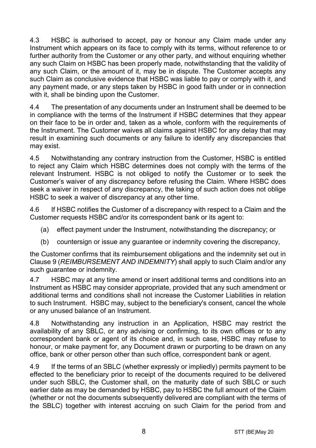4.3 HSBC is authorised to accept, pay or honour any Claim made under any Instrument which appears on its face to comply with its terms, without reference to or further authority from the Customer or any other party, and without enquiring whether any such Claim on HSBC has been properly made, notwithstanding that the validity of any such Claim, or the amount of it, may be in dispute. The Customer accepts any such Claim as conclusive evidence that HSBC was liable to pay or comply with it, and any payment made, or any steps taken by HSBC in good faith under or in connection with it, shall be binding upon the Customer.

4.4 The presentation of any documents under an Instrument shall be deemed to be in compliance with the terms of the Instrument if HSBC determines that they appear on their face to be in order and, taken as a whole, conform with the requirements of the Instrument. The Customer waives all claims against HSBC for any delay that may result in examining such documents or any failure to identify any discrepancies that may exist.

4.5 Notwithstanding any contrary instruction from the Customer, HSBC is entitled to reject any Claim which HSBC determines does not comply with the terms of the relevant Instrument. HSBC is not obliged to notify the Customer or to seek the Customer's waiver of any discrepancy before refusing the Claim. Where HSBC does seek a waiver in respect of any discrepancy, the taking of such action does not oblige HSBC to seek a waiver of discrepancy at any other time.

4.6 If HSBC notifies the Customer of a discrepancy with respect to a Claim and the Customer requests HSBC and/or its correspondent bank or its agent to:

- (a) effect payment under the Instrument, notwithstanding the discrepancy; or
- (b) countersign or issue any guarantee or indemnity covering the discrepancy,

the Customer confirms that its reimbursement obligations and the indemnity set out in Clause [9](#page-13-0) (*[REIMBURSEMENT AND INDEMNITY](#page-13-0)*) shall apply to such Claim and/or any such guarantee or indemnity.

4.7 HSBC may at any time amend or insert additional terms and conditions into an Instrument as HSBC may consider appropriate, provided that any such amendment or additional terms and conditions shall not increase the Customer Liabilities in relation to such Instrument. HSBC may, subject to the beneficiary's consent, cancel the whole or any unused balance of an Instrument.

4.8 Notwithstanding any instruction in an Application, HSBC may restrict the availability of any SBLC, or any advising or confirming, to its own offices or to any correspondent bank or agent of its choice and, in such case, HSBC may refuse to honour, or make payment for, any Document drawn or purporting to be drawn on any office, bank or other person other than such office, correspondent bank or agent.

4.9 If the terms of an SBLC (whether expressly or impliedly) permits payment to be effected to the beneficiary prior to receipt of the documents required to be delivered under such SBLC, the Customer shall, on the maturity date of such SBLC or such earlier date as may be demanded by HSBC, pay to HSBC the full amount of the Claim (whether or not the documents subsequently delivered are compliant with the terms of the SBLC) together with interest accruing on such Claim for the period from and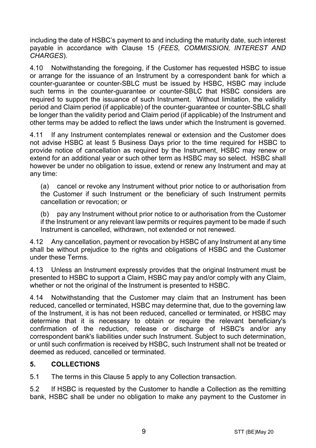including the date of HSBC's payment to and including the maturity date, such interest payable in accordance with Clause [15](#page-16-0) (*[FEES, COMMISSION, INTEREST AND](#page-16-0)  [CHARGES](#page-16-0)*).

4.10 Notwithstanding the foregoing, if the Customer has requested HSBC to issue or arrange for the issuance of an Instrument by a correspondent bank for which a counter-guarantee or counter-SBLC must be issued by HSBC, HSBC may include such terms in the counter-guarantee or counter-SBLC that HSBC considers are required to support the issuance of such Instrument. Without limitation, the validity period and Claim period (if applicable) of the counter-guarantee or counter-SBLC shall be longer than the validity period and Claim period (if applicable) of the Instrument and other terms may be added to reflect the laws under which the Instrument is governed.

4.11 If any Instrument contemplates renewal or extension and the Customer does not advise HSBC at least 5 Business Days prior to the time required for HSBC to provide notice of cancellation as required by the Instrument, HSBC may renew or extend for an additional year or such other term as HSBC may so select. HSBC shall however be under no obligation to issue, extend or renew any Instrument and may at any time:

(a) cancel or revoke any Instrument without prior notice to or authorisation from the Customer if such Instrument or the beneficiary of such Instrument permits cancellation or revocation; or

(b) pay any Instrument without prior notice to or authorisation from the Customer if the Instrument or any relevant law permits or requires payment to be made if such Instrument is cancelled, withdrawn, not extended or not renewed.

4.12 Any cancellation, payment or revocation by HSBC of any Instrument at any time shall be without prejudice to the rights and obligations of HSBC and the Customer under these Terms.

4.13 Unless an Instrument expressly provides that the original Instrument must be presented to HSBC to support a Claim, HSBC may pay and/or comply with any Claim, whether or not the original of the Instrument is presented to HSBC.

4.14 Notwithstanding that the Customer may claim that an Instrument has been reduced, cancelled or terminated, HSBC may determine that, due to the governing law of the Instrument, it is has not been reduced, cancelled or terminated, or HSBC may determine that it is necessary to obtain or require the relevant beneficiary's confirmation of the reduction, release or discharge of HSBC's and/or any correspondent bank's liabilities under such Instrument. Subject to such determination, or until such confirmation is received by HSBC, such Instrument shall not be treated or deemed as reduced, cancelled or terminated.

#### <span id="page-8-0"></span>**5. COLLECTIONS**

5.1 The terms in this Claus[e 5](#page-8-0) apply to any Collection transaction.

5.2 If HSBC is requested by the Customer to handle a Collection as the remitting bank, HSBC shall be under no obligation to make any payment to the Customer in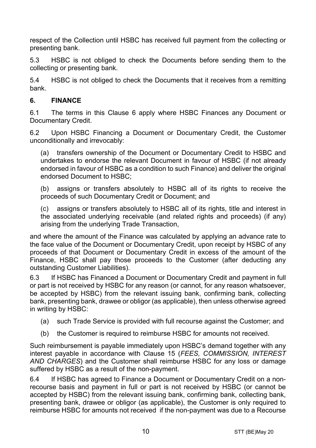respect of the Collection until HSBC has received full payment from the collecting or presenting bank.

5.3 HSBC is not obliged to check the Documents before sending them to the collecting or presenting bank.

5.4 HSBC is not obliged to check the Documents that it receives from a remitting bank.

#### <span id="page-9-0"></span>**6. FINANCE**

6.1 The terms in this Clause [6](#page-9-0) apply where HSBC Finances any Document or Documentary Credit.

6.2 Upon HSBC Financing a Document or Documentary Credit, the Customer unconditionally and irrevocably:

(a) transfers ownership of the Document or Documentary Credit to HSBC and undertakes to endorse the relevant Document in favour of HSBC (if not already endorsed in favour of HSBC as a condition to such Finance) and deliver the original endorsed Document to HSBC;

(b) assigns or transfers absolutely to HSBC all of its rights to receive the proceeds of such Documentary Credit or Document; and

(c) assigns or transfers absolutely to HSBC all of its rights, title and interest in the associated underlying receivable (and related rights and proceeds) (if any) arising from the underlying Trade Transaction,

and where the amount of the Finance was calculated by applying an advance rate to the face value of the Document or Documentary Credit, upon receipt by HSBC of any proceeds of that Document or Documentary Credit in excess of the amount of the Finance, HSBC shall pay those proceeds to the Customer (after deducting any outstanding Customer Liabilities).

6.3 If HSBC has Financed a Document or Documentary Credit and payment in full or part is not received by HSBC for any reason (or cannot, for any reason whatsoever, be accepted by HSBC) from the relevant issuing bank, confirming bank, collecting bank, presenting bank, drawee or obligor (as applicable), then unless otherwise agreed in writing by HSBC:

- (a) such Trade Service is provided with full recourse against the Customer; and
- (b) the Customer is required to reimburse HSBC for amounts not received.

Such reimbursement is payable immediately upon HSBC's demand together with any interest payable in accordance with Clause [15](#page-16-0) (*[FEES, COMMISSION, INTEREST](#page-16-0)  [AND CHARGES](#page-16-0)*) and the Customer shall reimburse HSBC for any loss or damage suffered by HSBC as a result of the non-payment.

6.4 If HSBC has agreed to Finance a Document or Documentary Credit on a nonrecourse basis and payment in full or part is not received by HSBC (or cannot be accepted by HSBC) from the relevant issuing bank, confirming bank, collecting bank, presenting bank, drawee or obligor (as applicable), the Customer is only required to reimburse HSBC for amounts not received if the non-payment was due to a Recourse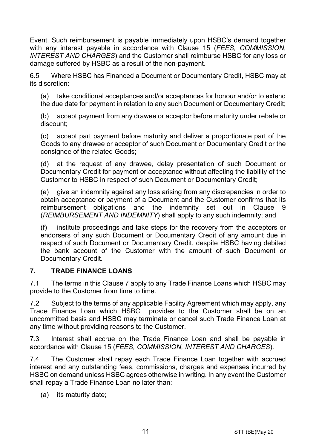Event. Such reimbursement is payable immediately upon HSBC's demand together with any interest payable in accordance with Clause [15](#page-16-0) (*[FEES, COMMISSION,](#page-16-0)  [INTEREST AND CHARGES](#page-16-0)*) and the Customer shall reimburse HSBC for any loss or damage suffered by HSBC as a result of the non-payment.

6.5 Where HSBC has Financed a Document or Documentary Credit, HSBC may at its discretion:

(a) take conditional acceptances and/or acceptances for honour and/or to extend the due date for payment in relation to any such Document or Documentary Credit;

(b) accept payment from any drawee or acceptor before maturity under rebate or discount;

(c) accept part payment before maturity and deliver a proportionate part of the Goods to any drawee or acceptor of such Document or Documentary Credit or the consignee of the related Goods;

(d) at the request of any drawee, delay presentation of such Document or Documentary Credit for payment or acceptance without affecting the liability of the Customer to HSBC in respect of such Document or Documentary Credit;

(e) give an indemnity against any loss arising from any discrepancies in order to obtain acceptance or payment of a Document and the Customer confirms that its reimbursement obligations and the indemnity set out in Clause [9](#page-13-0) (*[REIMBURSEMENT AND INDEMNITY](#page-13-0)*) shall apply to any such indemnity; and

(f) institute proceedings and take steps for the recovery from the acceptors or endorsers of any such Document or Documentary Credit of any amount due in respect of such Document or Documentary Credit, despite HSBC having debited the bank account of the Customer with the amount of such Document or Documentary Credit.

#### <span id="page-10-0"></span>**7. TRADE FINANCE LOANS**

7.1 The terms in this Clause [7](#page-10-0) apply to any Trade Finance Loans which HSBC may provide to the Customer from time to time.

7.2 Subject to the terms of any applicable Facility Agreement which may apply, any Trade Finance Loan which HSBC provides to the Customer shall be on an uncommitted basis and HSBC may terminate or cancel such Trade Finance Loan at any time without providing reasons to the Customer.

7.3 Interest shall accrue on the Trade Finance Loan and shall be payable in accordance with Clause [15](#page-16-0) (*[FEES, COMMISSION, INTEREST AND CHARGES](#page-16-0)*).

7.4 The Customer shall repay each Trade Finance Loan together with accrued interest and any outstanding fees, commissions, charges and expenses incurred by HSBC on demand unless HSBC agrees otherwise in writing. In any event the Customer shall repay a Trade Finance Loan no later than:

(a) its maturity date;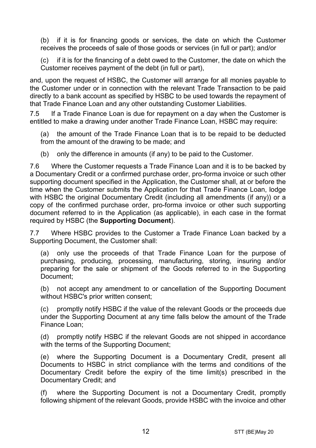(b) if it is for financing goods or services, the date on which the Customer receives the proceeds of sale of those goods or services (in full or part); and/or

(c) if it is for the financing of a debt owed to the Customer, the date on which the Customer receives payment of the debt (in full or part),

and, upon the request of HSBC, the Customer will arrange for all monies payable to the Customer under or in connection with the relevant Trade Transaction to be paid directly to a bank account as specified by HSBC to be used towards the repayment of that Trade Finance Loan and any other outstanding Customer Liabilities.

7.5 If a Trade Finance Loan is due for repayment on a day when the Customer is entitled to make a drawing under another Trade Finance Loan, HSBC may require:

(a) the amount of the Trade Finance Loan that is to be repaid to be deducted from the amount of the drawing to be made; and

(b) only the difference in amounts (if any) to be paid to the Customer.

7.6 Where the Customer requests a Trade Finance Loan and it is to be backed by a Documentary Credit or a confirmed purchase order, pro-forma invoice or such other supporting document specified in the Application, the Customer shall, at or before the time when the Customer submits the Application for that Trade Finance Loan, lodge with HSBC the original Documentary Credit (including all amendments (if any)) or a copy of the confirmed purchase order, pro-forma invoice or other such supporting document referred to in the Application (as applicable), in each case in the format required by HSBC (the **Supporting Document**).

7.7 Where HSBC provides to the Customer a Trade Finance Loan backed by a Supporting Document, the Customer shall:

(a) only use the proceeds of that Trade Finance Loan for the purpose of purchasing, producing, processing, manufacturing, storing, insuring and/or preparing for the sale or shipment of the Goods referred to in the Supporting Document;

(b) not accept any amendment to or cancellation of the Supporting Document without HSBC's prior written consent;

(c) promptly notify HSBC if the value of the relevant Goods or the proceeds due under the Supporting Document at any time falls below the amount of the Trade Finance Loan;

(d) promptly notify HSBC if the relevant Goods are not shipped in accordance with the terms of the Supporting Document;

(e) where the Supporting Document is a Documentary Credit, present all Documents to HSBC in strict compliance with the terms and conditions of the Documentary Credit before the expiry of the time limit(s) prescribed in the Documentary Credit; and

(f) where the Supporting Document is not a Documentary Credit, promptly following shipment of the relevant Goods, provide HSBC with the invoice and other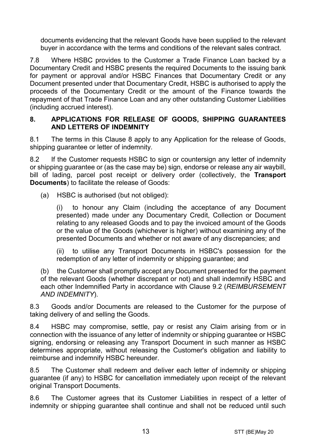documents evidencing that the relevant Goods have been supplied to the relevant buyer in accordance with the terms and conditions of the relevant sales contract.

7.8 Where HSBC provides to the Customer a Trade Finance Loan backed by a Documentary Credit and HSBC presents the required Documents to the issuing bank for payment or approval and/or HSBC Finances that Documentary Credit or any Document presented under that Documentary Credit, HSBC is authorised to apply the proceeds of the Documentary Credit or the amount of the Finance towards the repayment of that Trade Finance Loan and any other outstanding Customer Liabilities (including accrued interest).

#### <span id="page-12-0"></span>**8. APPLICATIONS FOR RELEASE OF GOODS, SHIPPING GUARANTEES AND LETTERS OF INDEMNITY**

8.1 The terms in this Clause [8](#page-12-0) apply to any Application for the release of Goods, shipping quarantee or letter of indemnity.

8.2 If the Customer requests HSBC to sign or countersign any letter of indemnity or shipping guarantee or (as the case may be) sign, endorse or release any air waybill, bill of lading, parcel post receipt or delivery order (collectively, the **Transport Documents**) to facilitate the release of Goods:

(a) HSBC is authorised (but not obliged):

(i) to honour any Claim (including the acceptance of any Document presented) made under any Documentary Credit, Collection or Document relating to any released Goods and to pay the invoiced amount of the Goods or the value of the Goods (whichever is higher) without examining any of the presented Documents and whether or not aware of any discrepancies; and

(ii) to utilise any Transport Documents in HSBC's possession for the redemption of any letter of indemnity or shipping guarantee; and

(b) the Customer shall promptly accept any Document presented for the payment of the relevant Goods (whether discrepant or not) and shall indemnify HSBC and each other Indemnified Party in accordance with Clause [9.2](#page-13-1) (*[REIMBURSEMENT](#page-13-0)  [AND INDEMNITY](#page-13-0)*).

8.3 Goods and/or Documents are released to the Customer for the purpose of taking delivery of and selling the Goods.

8.4 HSBC may compromise, settle, pay or resist any Claim arising from or in connection with the issuance of any letter of indemnity or shipping guarantee or HSBC signing, endorsing or releasing any Transport Document in such manner as HSBC determines appropriate, without releasing the Customer's obligation and liability to reimburse and indemnify HSBC hereunder.

8.5 The Customer shall redeem and deliver each letter of indemnity or shipping guarantee (if any) to HSBC for cancellation immediately upon receipt of the relevant original Transport Documents.

8.6 The Customer agrees that its Customer Liabilities in respect of a letter of indemnity or shipping guarantee shall continue and shall not be reduced until such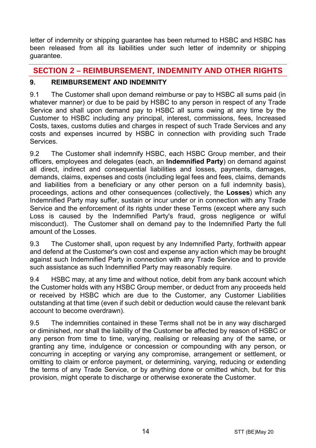letter of indemnity or shipping guarantee has been returned to HSBC and HSBC has been released from all its liabilities under such letter of indemnity or shipping guarantee.

# **SECTION 2 – REIMBURSEMENT, INDEMNITY AND OTHER RIGHTS**

# <span id="page-13-0"></span>**9. REIMBURSEMENT AND INDEMNITY**

9.1 The Customer shall upon demand reimburse or pay to HSBC all sums paid (in whatever manner) or due to be paid by HSBC to any person in respect of any Trade Service and shall upon demand pay to HSBC all sums owing at any time by the Customer to HSBC including any principal, interest, commissions, fees, Increased Costs, taxes, customs duties and charges in respect of such Trade Services and any costs and expenses incurred by HSBC in connection with providing such Trade **Services** 

<span id="page-13-1"></span>9.2 The Customer shall indemnify HSBC, each HSBC Group member, and their officers, employees and delegates (each, an **Indemnified Party**) on demand against all direct, indirect and consequential liabilities and losses, payments, damages, demands, claims, expenses and costs (including legal fees and fees, claims, demands and liabilities from a beneficiary or any other person on a full indemnity basis), proceedings, actions and other consequences (collectively, the **Losses**) which any Indemnified Party may suffer, sustain or incur under or in connection with any Trade Service and the enforcement of its rights under these Terms (except where any such Loss is caused by the Indemnified Party's fraud, gross negligence or wilful misconduct). The Customer shall on demand pay to the Indemnified Party the full amount of the Losses.

9.3 The Customer shall, upon request by any Indemnified Party, forthwith appear and defend at the Customer's own cost and expense any action which may be brought against such Indemnified Party in connection with any Trade Service and to provide such assistance as such Indemnified Party may reasonably require.

9.4 HSBC may, at any time and without notice, debit from any bank account which the Customer holds with any HSBC Group member, or deduct from any proceeds held or received by HSBC which are due to the Customer, any Customer Liabilities outstanding at that time (even if such debit or deduction would cause the relevant bank account to become overdrawn).

9.5 The indemnities contained in these Terms shall not be in any way discharged or diminished, nor shall the liability of the Customer be affected by reason of HSBC or any person from time to time, varying, realising or releasing any of the same, or granting any time, indulgence or concession or compounding with any person, or concurring in accepting or varying any compromise, arrangement or settlement, or omitting to claim or enforce payment, or determining, varying, reducing or extending the terms of any Trade Service, or by anything done or omitted which, but for this provision, might operate to discharge or otherwise exonerate the Customer.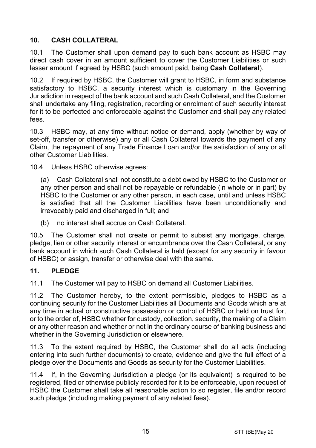# <span id="page-14-1"></span>**10. CASH COLLATERAL**

10.1 The Customer shall upon demand pay to such bank account as HSBC may direct cash cover in an amount sufficient to cover the Customer Liabilities or such lesser amount if agreed by HSBC (such amount paid, being **Cash Collateral**).

10.2 If required by HSBC, the Customer will grant to HSBC, in form and substance satisfactory to HSBC, a security interest which is customary in the Governing Jurisdiction in respect of the bank account and such Cash Collateral, and the Customer shall undertake any filing, registration, recording or enrolment of such security interest for it to be perfected and enforceable against the Customer and shall pay any related fees.

10.3 HSBC may, at any time without notice or demand, apply (whether by way of set-off, transfer or otherwise) any or all Cash Collateral towards the payment of any Claim, the repayment of any Trade Finance Loan and/or the satisfaction of any or all other Customer Liabilities.

10.4 Unless HSBC otherwise agrees:

(a) Cash Collateral shall not constitute a debt owed by HSBC to the Customer or any other person and shall not be repayable or refundable (in whole or in part) by HSBC to the Customer or any other person, in each case, until and unless HSBC is satisfied that all the Customer Liabilities have been unconditionally and irrevocably paid and discharged in full; and

(b) no interest shall accrue on Cash Collateral.

10.5 The Customer shall not create or permit to subsist any mortgage, charge, pledge, lien or other security interest or encumbrance over the Cash Collateral, or any bank account in which such Cash Collateral is held (except for any security in favour of HSBC) or assign, transfer or otherwise deal with the same.

#### <span id="page-14-0"></span>**11. PLEDGE**

11.1 The Customer will pay to HSBC on demand all Customer Liabilities.

11.2 The Customer hereby, to the extent permissible, pledges to HSBC as a continuing security for the Customer Liabilities all Documents and Goods which are at any time in actual or constructive possession or control of HSBC or held on trust for, or to the order of, HSBC whether for custody, collection, security, the making of a Claim or any other reason and whether or not in the ordinary course of banking business and whether in the Governing Jurisdiction or elsewhere.

11.3 To the extent required by HSBC, the Customer shall do all acts (including entering into such further documents) to create, evidence and give the full effect of a pledge over the Documents and Goods as security for the Customer Liabilities.

11.4 If, in the Governing Jurisdiction a pledge (or its equivalent) is required to be registered, filed or otherwise publicly recorded for it to be enforceable, upon request of HSBC the Customer shall take all reasonable action to so register, file and/or record such pledge (including making payment of any related fees).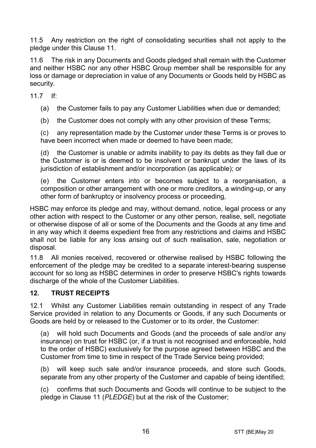11.5 Any restriction on the right of consolidating securities shall not apply to the pledge under this Clause [11.](#page-14-0)

11.6 The risk in any Documents and Goods pledged shall remain with the Customer and neither HSBC nor any other HSBC Group member shall be responsible for any loss or damage or depreciation in value of any Documents or Goods held by HSBC as security.

11.7 If:

(a) the Customer fails to pay any Customer Liabilities when due or demanded;

(b) the Customer does not comply with any other provision of these Terms;

(c) any representation made by the Customer under these Terms is or proves to have been incorrect when made or deemed to have been made;

(d) the Customer is unable or admits inability to pay its debts as they fall due or the Customer is or is deemed to be insolvent or bankrupt under the laws of its jurisdiction of establishment and/or incorporation (as applicable); or

(e) the Customer enters into or becomes subject to a reorganisation, a composition or other arrangement with one or more creditors, a winding-up, or any other form of bankruptcy or insolvency process or proceeding,

HSBC may enforce its pledge and may, without demand, notice, legal process or any other action with respect to the Customer or any other person, realise, sell, negotiate or otherwise dispose of all or some of the Documents and the Goods at any time and in any way which it deems expedient free from any restrictions and claims and HSBC shall not be liable for any loss arising out of such realisation, sale, negotiation or disposal.

11.8 All monies received, recovered or otherwise realised by HSBC following the enforcement of the pledge may be credited to a separate interest-bearing suspense account for so long as HSBC determines in order to preserve HSBC's rights towards discharge of the whole of the Customer Liabilities.

#### **12. TRUST RECEIPTS**

12.1 Whilst any Customer Liabilities remain outstanding in respect of any Trade Service provided in relation to any Documents or Goods, if any such Documents or Goods are held by or released to the Customer or to its order, the Customer:

(a) will hold such Documents and Goods (and the proceeds of sale and/or any insurance) on trust for HSBC (or, if a trust is not recognised and enforceable, hold to the order of HSBC) exclusively for the purpose agreed between HSBC and the Customer from time to time in respect of the Trade Service being provided;

(b) will keep such sale and/or insurance proceeds, and store such Goods, separate from any other property of the Customer and capable of being identified;

(c) confirms that such Documents and Goods will continue to be subject to the pledge in Claus[e 11](#page-14-0) (*[PLEDGE](#page-14-0)*) but at the risk of the Customer;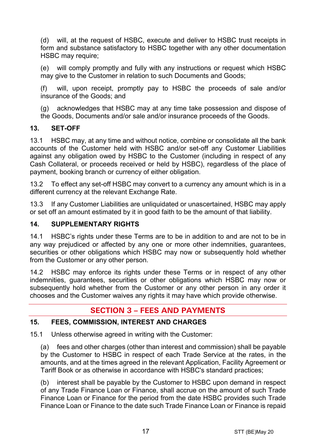(d) will, at the request of HSBC, execute and deliver to HSBC trust receipts in form and substance satisfactory to HSBC together with any other documentation HSBC may require:

(e) will comply promptly and fully with any instructions or request which HSBC may give to the Customer in relation to such Documents and Goods;

(f) will, upon receipt, promptly pay to HSBC the proceeds of sale and/or insurance of the Goods; and

(g) acknowledges that HSBC may at any time take possession and dispose of the Goods, Documents and/or sale and/or insurance proceeds of the Goods.

#### **13. SET-OFF**

13.1 HSBC may, at any time and without notice, combine or consolidate all the bank accounts of the Customer held with HSBC and/or set-off any Customer Liabilities against any obligation owed by HSBC to the Customer (including in respect of any Cash Collateral, or proceeds received or held by HSBC), regardless of the place of payment, booking branch or currency of either obligation.

13.2 To effect any set-off HSBC may convert to a currency any amount which is in a different currency at the relevant Exchange Rate.

13.3 If any Customer Liabilities are unliquidated or unascertained, HSBC may apply or set off an amount estimated by it in good faith to be the amount of that liability.

#### **14. SUPPLEMENTARY RIGHTS**

14.1 HSBC's rights under these Terms are to be in addition to and are not to be in any way prejudiced or affected by any one or more other indemnities, guarantees, securities or other obligations which HSBC may now or subsequently hold whether from the Customer or any other person.

14.2 HSBC may enforce its rights under these Terms or in respect of any other indemnities, guarantees, securities or other obligations which HSBC may now or subsequently hold whether from the Customer or any other person in any order it chooses and the Customer waives any rights it may have which provide otherwise.

# **SECTION 3 – FEES AND PAYMENTS**

#### <span id="page-16-0"></span>**15. FEES, COMMISSION, INTEREST AND CHARGES**

15.1 Unless otherwise agreed in writing with the Customer:

(a) fees and other charges (other than interest and commission) shall be payable by the Customer to HSBC in respect of each Trade Service at the rates, in the amounts, and at the times agreed in the relevant Application, Facility Agreement or Tariff Book or as otherwise in accordance with HSBC's standard practices;

(b) interest shall be payable by the Customer to HSBC upon demand in respect of any Trade Finance Loan or Finance, shall accrue on the amount of such Trade Finance Loan or Finance for the period from the date HSBC provides such Trade Finance Loan or Finance to the date such Trade Finance Loan or Finance is repaid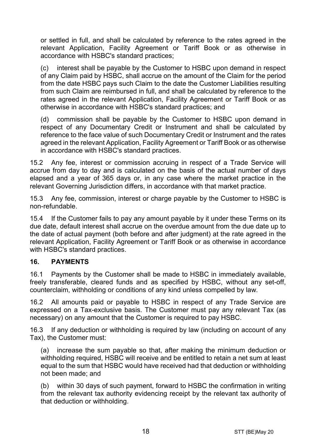or settled in full, and shall be calculated by reference to the rates agreed in the relevant Application, Facility Agreement or Tariff Book or as otherwise in accordance with HSBC's standard practices;

(c) interest shall be payable by the Customer to HSBC upon demand in respect of any Claim paid by HSBC, shall accrue on the amount of the Claim for the period from the date HSBC pays such Claim to the date the Customer Liabilities resulting from such Claim are reimbursed in full, and shall be calculated by reference to the rates agreed in the relevant Application, Facility Agreement or Tariff Book or as otherwise in accordance with HSBC's standard practices; and

(d) commission shall be payable by the Customer to HSBC upon demand in respect of any Documentary Credit or Instrument and shall be calculated by reference to the face value of such Documentary Credit or Instrument and the rates agreed in the relevant Application, Facility Agreement or Tariff Book or as otherwise in accordance with HSBC's standard practices.

15.2 Any fee, interest or commission accruing in respect of a Trade Service will accrue from day to day and is calculated on the basis of the actual number of days elapsed and a year of 365 days or, in any case where the market practice in the relevant Governing Jurisdiction differs, in accordance with that market practice.

15.3 Any fee, commission, interest or charge payable by the Customer to HSBC is non-refundable.

15.4 If the Customer fails to pay any amount payable by it under these Terms on its due date, default interest shall accrue on the overdue amount from the due date up to the date of actual payment (both before and after judgment) at the rate agreed in the relevant Application, Facility Agreement or Tariff Book or as otherwise in accordance with HSBC's standard practices.

#### **16. PAYMENTS**

16.1 Payments by the Customer shall be made to HSBC in immediately available, freely transferable, cleared funds and as specified by HSBC, without any set-off, counterclaim, withholding or conditions of any kind unless compelled by law.

16.2 All amounts paid or payable to HSBC in respect of any Trade Service are expressed on a Tax-exclusive basis. The Customer must pay any relevant Tax (as necessary) on any amount that the Customer is required to pay HSBC.

16.3 If any deduction or withholding is required by law (including on account of any Tax), the Customer must:

(a) increase the sum payable so that, after making the minimum deduction or withholding required, HSBC will receive and be entitled to retain a net sum at least equal to the sum that HSBC would have received had that deduction or withholding not been made; and

(b) within 30 days of such payment, forward to HSBC the confirmation in writing from the relevant tax authority evidencing receipt by the relevant tax authority of that deduction or withholding.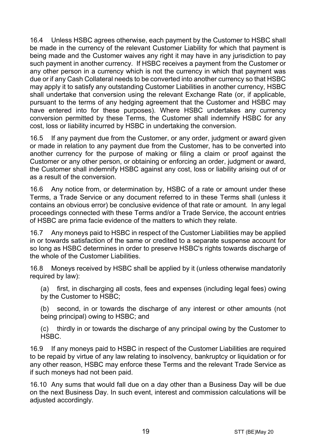16.4 Unless HSBC agrees otherwise, each payment by the Customer to HSBC shall be made in the currency of the relevant Customer Liability for which that payment is being made and the Customer waives any right it may have in any jurisdiction to pay such payment in another currency. If HSBC receives a payment from the Customer or any other person in a currency which is not the currency in which that payment was due or if any Cash Collateral needs to be converted into another currency so that HSBC may apply it to satisfy any outstanding Customer Liabilities in another currency, HSBC shall undertake that conversion using the relevant Exchange Rate (or, if applicable, pursuant to the terms of any hedging agreement that the Customer and HSBC may have entered into for these purposes). Where HSBC undertakes any currency conversion permitted by these Terms, the Customer shall indemnify HSBC for any cost, loss or liability incurred by HSBC in undertaking the conversion.

16.5 If any payment due from the Customer, or any order, judgment or award given or made in relation to any payment due from the Customer, has to be converted into another currency for the purpose of making or filing a claim or proof against the Customer or any other person, or obtaining or enforcing an order, judgment or award, the Customer shall indemnify HSBC against any cost, loss or liability arising out of or as a result of the conversion.

16.6 Any notice from, or determination by, HSBC of a rate or amount under these Terms, a Trade Service or any document referred to in these Terms shall (unless it contains an obvious error) be conclusive evidence of that rate or amount. In any legal proceedings connected with these Terms and/or a Trade Service, the account entries of HSBC are prima facie evidence of the matters to which they relate.

16.7 Any moneys paid to HSBC in respect of the Customer Liabilities may be applied in or towards satisfaction of the same or credited to a separate suspense account for so long as HSBC determines in order to preserve HSBC's rights towards discharge of the whole of the Customer Liabilities.

16.8 Moneys received by HSBC shall be applied by it (unless otherwise mandatorily required by law):

(a) first, in discharging all costs, fees and expenses (including legal fees) owing by the Customer to HSBC;

(b) second, in or towards the discharge of any interest or other amounts (not being principal) owing to HSBC; and

(c) thirdly in or towards the discharge of any principal owing by the Customer to HSBC.

16.9 If any moneys paid to HSBC in respect of the Customer Liabilities are required to be repaid by virtue of any law relating to insolvency, bankruptcy or liquidation or for any other reason, HSBC may enforce these Terms and the relevant Trade Service as if such moneys had not been paid.

16.10 Any sums that would fall due on a day other than a Business Day will be due on the next Business Day. In such event, interest and commission calculations will be adjusted accordingly.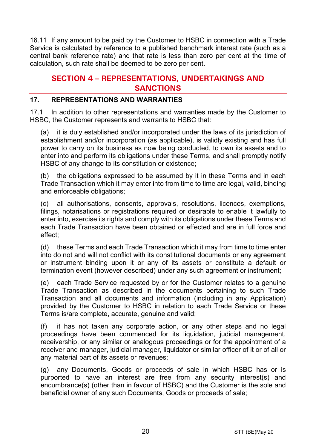16.11 If any amount to be paid by the Customer to HSBC in connection with a Trade Service is calculated by reference to a published benchmark interest rate (such as a central bank reference rate) and that rate is less than zero per cent at the time of calculation, such rate shall be deemed to be zero per cent.

# **SECTION 4 – REPRESENTATIONS, UNDERTAKINGS AND SANCTIONS**

#### **17. REPRESENTATIONS AND WARRANTIES**

17.1 In addition to other representations and warranties made by the Customer to HSBC, the Customer represents and warrants to HSBC that:

(a) it is duly established and/or incorporated under the laws of its jurisdiction of establishment and/or incorporation (as applicable), is validly existing and has full power to carry on its business as now being conducted, to own its assets and to enter into and perform its obligations under these Terms, and shall promptly notify HSBC of any change to its constitution or existence;

(b) the obligations expressed to be assumed by it in these Terms and in each Trade Transaction which it may enter into from time to time are legal, valid, binding and enforceable obligations;

(c) all authorisations, consents, approvals, resolutions, licences, exemptions, filings, notarisations or registrations required or desirable to enable it lawfully to enter into, exercise its rights and comply with its obligations under these Terms and each Trade Transaction have been obtained or effected and are in full force and effect;

(d) these Terms and each Trade Transaction which it may from time to time enter into do not and will not conflict with its constitutional documents or any agreement or instrument binding upon it or any of its assets or constitute a default or termination event (however described) under any such agreement or instrument;

(e) each Trade Service requested by or for the Customer relates to a genuine Trade Transaction as described in the documents pertaining to such Trade Transaction and all documents and information (including in any Application) provided by the Customer to HSBC in relation to each Trade Service or these Terms is/are complete, accurate, genuine and valid;

(f) it has not taken any corporate action, or any other steps and no legal proceedings have been commenced for its liquidation, judicial management, receivership, or any similar or analogous proceedings or for the appointment of a receiver and manager, judicial manager, liquidator or similar officer of it or of all or any material part of its assets or revenues;

(g) any Documents, Goods or proceeds of sale in which HSBC has or is purported to have an interest are free from any security interest(s) and encumbrance(s) (other than in favour of HSBC) and the Customer is the sole and beneficial owner of any such Documents, Goods or proceeds of sale;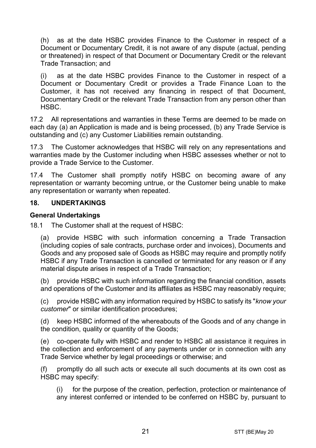(h) as at the date HSBC provides Finance to the Customer in respect of a Document or Documentary Credit, it is not aware of any dispute (actual, pending or threatened) in respect of that Document or Documentary Credit or the relevant Trade Transaction; and

(i) as at the date HSBC provides Finance to the Customer in respect of a Document or Documentary Credit or provides a Trade Finance Loan to the Customer, it has not received any financing in respect of that Document, Documentary Credit or the relevant Trade Transaction from any person other than HSBC.

17.2 All representations and warranties in these Terms are deemed to be made on each day (a) an Application is made and is being processed, (b) any Trade Service is outstanding and (c) any Customer Liabilities remain outstanding.

17.3 The Customer acknowledges that HSBC will rely on any representations and warranties made by the Customer including when HSBC assesses whether or not to provide a Trade Service to the Customer.

17.4 The Customer shall promptly notify HSBC on becoming aware of any representation or warranty becoming untrue, or the Customer being unable to make any representation or warranty when repeated.

#### **18. UNDERTAKINGS**

#### **General Undertakings**

18.1 The Customer shall at the request of HSBC:

(a) provide HSBC with such information concerning a Trade Transaction (including copies of sale contracts, purchase order and invoices), Documents and Goods and any proposed sale of Goods as HSBC may require and promptly notify HSBC if any Trade Transaction is cancelled or terminated for any reason or if any material dispute arises in respect of a Trade Transaction;

(b) provide HSBC with such information regarding the financial condition, assets and operations of the Customer and its affiliates as HSBC may reasonably require;

(c) provide HSBC with any information required by HSBC to satisfy its "*know your customer*" or similar identification procedures;

(d) keep HSBC informed of the whereabouts of the Goods and of any change in the condition, quality or quantity of the Goods;

(e) co-operate fully with HSBC and render to HSBC all assistance it requires in the collection and enforcement of any payments under or in connection with any Trade Service whether by legal proceedings or otherwise; and

(f) promptly do all such acts or execute all such documents at its own cost as HSBC may specify:

(i) for the purpose of the creation, perfection, protection or maintenance of any interest conferred or intended to be conferred on HSBC by, pursuant to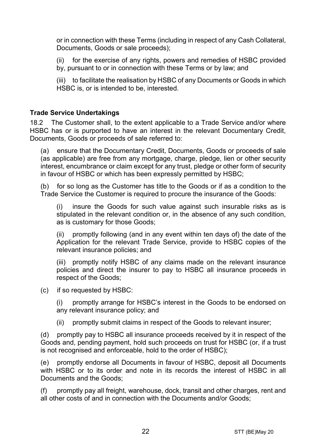or in connection with these Terms (including in respect of any Cash Collateral, Documents, Goods or sale proceeds);

(ii) for the exercise of any rights, powers and remedies of HSBC provided by, pursuant to or in connection with these Terms or by law; and

(iii) to facilitate the realisation by HSBC of any Documents or Goods in which HSBC is, or is intended to be, interested.

#### **Trade Service Undertakings**

18.2 The Customer shall, to the extent applicable to a Trade Service and/or where HSBC has or is purported to have an interest in the relevant Documentary Credit, Documents, Goods or proceeds of sale referred to:

(a) ensure that the Documentary Credit, Documents, Goods or proceeds of sale (as applicable) are free from any mortgage, charge, pledge, lien or other security interest, encumbrance or claim except for any trust, pledge or other form of security in favour of HSBC or which has been expressly permitted by HSBC;

(b) for so long as the Customer has title to the Goods or if as a condition to the Trade Service the Customer is required to procure the insurance of the Goods:

(i) insure the Goods for such value against such insurable risks as is stipulated in the relevant condition or, in the absence of any such condition, as is customary for those Goods;

(ii) promptly following (and in any event within ten days of) the date of the Application for the relevant Trade Service, provide to HSBC copies of the relevant insurance policies; and

(iii) promptly notify HSBC of any claims made on the relevant insurance policies and direct the insurer to pay to HSBC all insurance proceeds in respect of the Goods;

(c) if so requested by HSBC:

(i) promptly arrange for HSBC's interest in the Goods to be endorsed on any relevant insurance policy; and

(ii) promptly submit claims in respect of the Goods to relevant insurer;

(d) promptly pay to HSBC all insurance proceeds received by it in respect of the Goods and, pending payment, hold such proceeds on trust for HSBC (or, if a trust is not recognised and enforceable, hold to the order of HSBC);

(e) promptly endorse all Documents in favour of HSBC, deposit all Documents with HSBC or to its order and note in its records the interest of HSBC in all Documents and the Goods;

(f) promptly pay all freight, warehouse, dock, transit and other charges, rent and all other costs of and in connection with the Documents and/or Goods;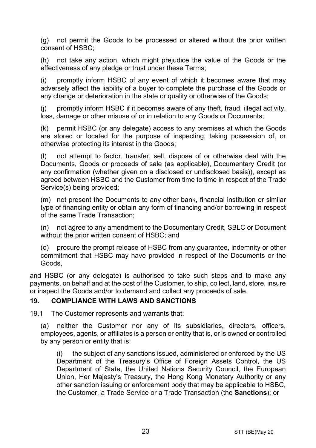(g) not permit the Goods to be processed or altered without the prior written consent of HSBC;

(h) not take any action, which might prejudice the value of the Goods or the effectiveness of any pledge or trust under these Terms;

(i) promptly inform HSBC of any event of which it becomes aware that may adversely affect the liability of a buyer to complete the purchase of the Goods or any change or deterioration in the state or quality or otherwise of the Goods;

(j) promptly inform HSBC if it becomes aware of any theft, fraud, illegal activity, loss, damage or other misuse of or in relation to any Goods or Documents;

(k) permit HSBC (or any delegate) access to any premises at which the Goods are stored or located for the purpose of inspecting, taking possession of, or otherwise protecting its interest in the Goods;

(l) not attempt to factor, transfer, sell, dispose of or otherwise deal with the Documents, Goods or proceeds of sale (as applicable), Documentary Credit (or any confirmation (whether given on a disclosed or undisclosed basis)), except as agreed between HSBC and the Customer from time to time in respect of the Trade Service(s) being provided;

(m) not present the Documents to any other bank, financial institution or similar type of financing entity or obtain any form of financing and/or borrowing in respect of the same Trade Transaction;

(n) not agree to any amendment to the Documentary Credit, SBLC or Document without the prior written consent of HSBC; and

(o) procure the prompt release of HSBC from any guarantee, indemnity or other commitment that HSBC may have provided in respect of the Documents or the Goods,

and HSBC (or any delegate) is authorised to take such steps and to make any payments, on behalf and at the cost of the Customer, to ship, collect, land, store, insure or inspect the Goods and/or to demand and collect any proceeds of sale.

#### <span id="page-22-0"></span>**19. COMPLIANCE WITH LAWS AND SANCTIONS**

19.1 The Customer represents and warrants that:

(a) neither the Customer nor any of its subsidiaries, directors, officers, employees, agents, or affiliates is a person or entity that is, or is owned or controlled by any person or entity that is:

(i) the subject of any sanctions issued, administered or enforced by the US Department of the Treasury's Office of Foreign Assets Control, the US Department of State, the United Nations Security Council, the European Union, Her Majesty's Treasury, the Hong Kong Monetary Authority or any other sanction issuing or enforcement body that may be applicable to HSBC, the Customer, a Trade Service or a Trade Transaction (the **Sanctions**); or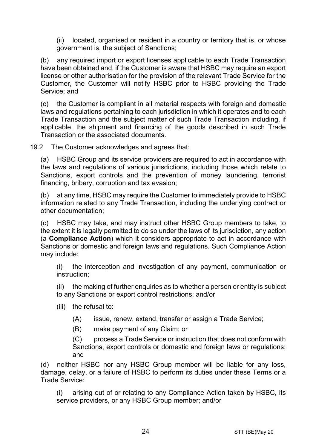(ii) located, organised or resident in a country or territory that is, or whose government is, the subject of Sanctions;

(b) any required import or export licenses applicable to each Trade Transaction have been obtained and, if the Customer is aware that HSBC may require an export license or other authorisation for the provision of the relevant Trade Service for the Customer, the Customer will notify HSBC prior to HSBC providing the Trade Service; and

(c) the Customer is compliant in all material respects with foreign and domestic laws and regulations pertaining to each jurisdiction in which it operates and to each Trade Transaction and the subject matter of such Trade Transaction including, if applicable, the shipment and financing of the goods described in such Trade Transaction or the associated documents.

19.2 The Customer acknowledges and agrees that:

(a) HSBC Group and its service providers are required to act in accordance with the laws and regulations of various jurisdictions, including those which relate to Sanctions, export controls and the prevention of money laundering, terrorist financing, bribery, corruption and tax evasion;

(b) at any time, HSBC may require the Customer to immediately provide to HSBC information related to any Trade Transaction, including the underlying contract or other documentation;

(c) HSBC may take, and may instruct other HSBC Group members to take, to the extent it is legally permitted to do so under the laws of its jurisdiction, any action (a **Compliance Action**) which it considers appropriate to act in accordance with Sanctions or domestic and foreign laws and regulations. Such Compliance Action may include:

(i) the interception and investigation of any payment, communication or instruction;

(ii) the making of further enquiries as to whether a person or entity is subject to any Sanctions or export control restrictions; and/or

- (iii) the refusal to:
	- (A) issue, renew, extend, transfer or assign a Trade Service;
	- (B) make payment of any Claim; or

(C) process a Trade Service or instruction that does not conform with Sanctions, export controls or domestic and foreign laws or regulations; and

(d) neither HSBC nor any HSBC Group member will be liable for any loss, damage, delay, or a failure of HSBC to perform its duties under these Terms or a Trade Service:

(i) arising out of or relating to any Compliance Action taken by HSBC, its service providers, or any HSBC Group member; and/or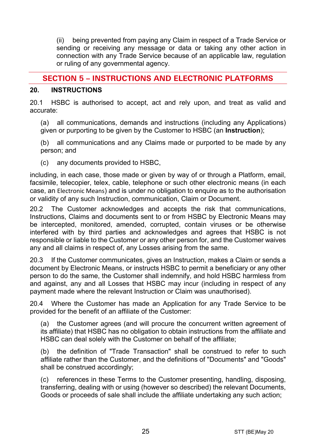(ii) being prevented from paying any Claim in respect of a Trade Service or sending or receiving any message or data or taking any other action in connection with any Trade Service because of an applicable law, regulation or ruling of any governmental agency.

# **SECTION 5 – INSTRUCTIONS AND ELECTRONIC PLATFORMS**

#### <span id="page-24-0"></span>**20. INSTRUCTIONS**

20.1 HSBC is authorised to accept, act and rely upon, and treat as valid and accurate:

(a) all communications, demands and instructions (including any Applications) given or purporting to be given by the Customer to HSBC (an **Instruction**);

(b) all communications and any Claims made or purported to be made by any person; and

(c) any documents provided to HSBC,

including, in each case, those made or given by way of or through a Platform, email, facsimile, telecopier, telex, cable, telephone or such other electronic means (in each case, an Electronic Means) and is under no obligation to enquire as to the authorisation or validity of any such Instruction, communication, Claim or Document.

20.2 The Customer acknowledges and accepts the risk that communications, Instructions, Claims and documents sent to or from HSBC by Electronic Means may be intercepted, monitored, amended, corrupted, contain viruses or be otherwise interfered with by third parties and acknowledges and agrees that HSBC is not responsible or liable to the Customer or any other person for, and the Customer waives any and all claims in respect of, any Losses arising from the same.

20.3 If the Customer communicates, gives an Instruction, makes a Claim or sends a document by Electronic Means, or instructs HSBC to permit a beneficiary or any other person to do the same, the Customer shall indemnify, and hold HSBC harmless from and against, any and all Losses that HSBC may incur (including in respect of any payment made where the relevant Instruction or Claim was unauthorised).

20.4 Where the Customer has made an Application for any Trade Service to be provided for the benefit of an affiliate of the Customer:

(a) the Customer agrees (and will procure the concurrent written agreement of its affiliate) that HSBC has no obligation to obtain instructions from the affiliate and HSBC can deal solely with the Customer on behalf of the affiliate;

(b) the definition of "Trade Transaction" shall be construed to refer to such affiliate rather than the Customer, and the definitions of "Documents" and "Goods" shall be construed accordingly;

(c) references in these Terms to the Customer presenting, handling, disposing, transferring, dealing with or using (however so described) the relevant Documents, Goods or proceeds of sale shall include the affiliate undertaking any such action;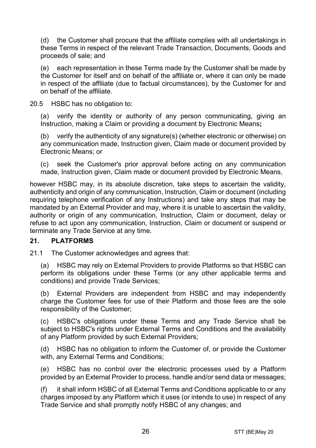(d) the Customer shall procure that the affiliate complies with all undertakings in these Terms in respect of the relevant Trade Transaction, Documents, Goods and proceeds of sale; and

(e) each representation in these Terms made by the Customer shall be made by the Customer for itself and on behalf of the affiliate or, where it can only be made in respect of the affiliate (due to factual circumstances), by the Customer for and on behalf of the affiliate.

20.5 HSBC has no obligation to:

(a) verify the identity or authority of any person communicating, giving an Instruction, making a Claim or providing a document by Electronic Means**;**

(b) verify the authenticity of any signature(s) (whether electronic or otherwise) on any communication made, Instruction given, Claim made or document provided by Electronic Means; or

(c) seek the Customer's prior approval before acting on any communication made, Instruction given, Claim made or document provided by Electronic Means,

however HSBC may, in its absolute discretion, take steps to ascertain the validity, authenticity and origin of any communication, Instruction, Claim or document (including requiring telephone verification of any Instructions) and take any steps that may be mandated by an External Provider and may, where it is unable to ascertain the validity, authority or origin of any communication, Instruction, Claim or document, delay or refuse to act upon any communication, Instruction, Claim or document or suspend or terminate any Trade Service at any time.

#### **21. PLATFORMS**

21.1 The Customer acknowledges and agrees that:

(a) HSBC may rely on External Providers to provide Platforms so that HSBC can perform its obligations under these Terms (or any other applicable terms and conditions) and provide Trade Services;

(b) External Providers are independent from HSBC and may independently charge the Customer fees for use of their Platform and those fees are the sole responsibility of the Customer;

(c) HSBC's obligations under these Terms and any Trade Service shall be subject to HSBC's rights under External Terms and Conditions and the availability of any Platform provided by such External Providers;

(d) HSBC has no obligation to inform the Customer of, or provide the Customer with, any External Terms and Conditions;

(e) HSBC has no control over the electronic processes used by a Platform provided by an External Provider to process, handle and/or send data or messages;

(f) it shall inform HSBC of all External Terms and Conditions applicable to or any charges imposed by any Platform which it uses (or intends to use) in respect of any Trade Service and shall promptly notify HSBC of any changes; and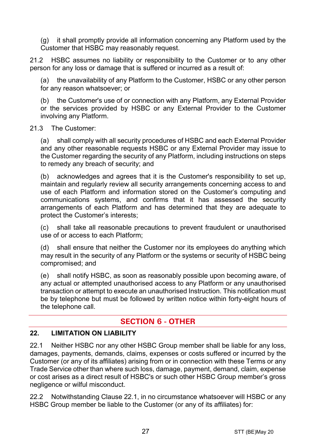(g) it shall promptly provide all information concerning any Platform used by the Customer that HSBC may reasonably request.

21.2 HSBC assumes no liability or responsibility to the Customer or to any other person for any loss or damage that is suffered or incurred as a result of:

(a) the unavailability of any Platform to the Customer, HSBC or any other person for any reason whatsoever; or

(b) the Customer's use of or connection with any Platform, any External Provider or the services provided by HSBC or any External Provider to the Customer involving any Platform.

#### 21.3 The Customer:

(a) shall comply with all security procedures of HSBC and each External Provider and any other reasonable requests HSBC or any External Provider may issue to the Customer regarding the security of any Platform, including instructions on steps to remedy any breach of security; and

(b) acknowledges and agrees that it is the Customer's responsibility to set up, maintain and regularly review all security arrangements concerning access to and use of each Platform and information stored on the Customer's computing and communications systems, and confirms that it has assessed the security arrangements of each Platform and has determined that they are adequate to protect the Customer's interests;

(c) shall take all reasonable precautions to prevent fraudulent or unauthorised use of or access to each Platform;

(d) shall ensure that neither the Customer nor its employees do anything which may result in the security of any Platform or the systems or security of HSBC being compromised; and

(e) shall notify HSBC, as soon as reasonably possible upon becoming aware, of any actual or attempted unauthorised access to any Platform or any unauthorised transaction or attempt to execute an unauthorised Instruction. This notification must be by telephone but must be followed by written notice within forty-eight hours of the telephone call.

# **SECTION 6 - OTHER**

#### **22. LIMITATION ON LIABILITY**

<span id="page-26-0"></span>22.1 Neither HSBC nor any other HSBC Group member shall be liable for any loss, damages, payments, demands, claims, expenses or costs suffered or incurred by the Customer (or any of its affiliates) arising from or in connection with these Terms or any Trade Service other than where such loss, damage, payment, demand, claim, expense or cost arises as a direct result of HSBC's or such other HSBC Group member's gross negligence or wilful misconduct.

<span id="page-26-1"></span>22.2 Notwithstanding Clause [22.1,](#page-26-0) in no circumstance whatsoever will HSBC or any HSBC Group member be liable to the Customer (or any of its affiliates) for: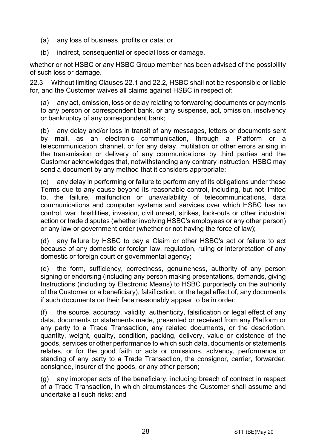- (a) any loss of business, profits or data; or
- (b) indirect, consequential or special loss or damage,

whether or not HSBC or any HSBC Group member has been advised of the possibility of such loss or damage.

22.3 Without limiting Clauses [22.1](#page-26-0) and [22.2,](#page-26-1) HSBC shall not be responsible or liable for, and the Customer waives all claims against HSBC in respect of:

(a) any act, omission, loss or delay relating to forwarding documents or payments to any person or correspondent bank, or any suspense, act, omission, insolvency or bankruptcy of any correspondent bank;

(b) any delay and/or loss in transit of any messages, letters or documents sent by mail, as an electronic communication, through a Platform or a telecommunication channel, or for any delay, mutilation or other errors arising in the transmission or delivery of any communications by third parties and the Customer acknowledges that, notwithstanding any contrary instruction, HSBC may send a document by any method that it considers appropriate;

(c) any delay in performing or failure to perform any of its obligations under these Terms due to any cause beyond its reasonable control, including, but not limited to, the failure, malfunction or unavailability of telecommunications, data communications and computer systems and services over which HSBC has no control, war, hostilities, invasion, civil unrest, strikes, lock-outs or other industrial action or trade disputes (whether involving HSBC's employees or any other person) or any law or government order (whether or not having the force of law);

(d) any failure by HSBC to pay a Claim or other HSBC's act or failure to act because of any domestic or foreign law, regulation, ruling or interpretation of any domestic or foreign court or governmental agency;

(e) the form, sufficiency, correctness, genuineness, authority of any person signing or endorsing (including any person making presentations, demands, giving Instructions (including by Electronic Means) to HSBC purportedly on the authority of the Customer or a beneficiary), falsification, or the legal effect of, any documents if such documents on their face reasonably appear to be in order;

(f) the source, accuracy, validity, authenticity, falsification or legal effect of any data, documents or statements made, presented or received from any Platform or any party to a Trade Transaction, any related documents, or the description, quantity, weight, quality, condition, packing, delivery, value or existence of the goods, services or other performance to which such data, documents or statements relates, or for the good faith or acts or omissions, solvency, performance or standing of any party to a Trade Transaction, the consignor, carrier, forwarder, consignee, insurer of the goods, or any other person;

(g) any improper acts of the beneficiary, including breach of contract in respect of a Trade Transaction, in which circumstances the Customer shall assume and undertake all such risks; and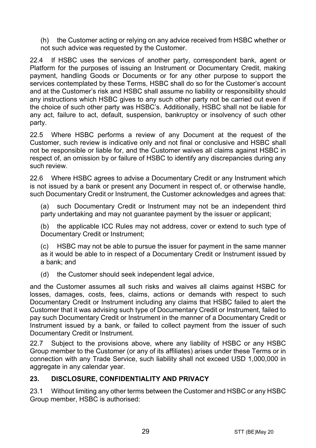(h) the Customer acting or relying on any advice received from HSBC whether or not such advice was requested by the Customer.

22.4 If HSBC uses the services of another party, correspondent bank, agent or Platform for the purposes of issuing an Instrument or Documentary Credit, making payment, handling Goods or Documents or for any other purpose to support the services contemplated by these Terms, HSBC shall do so for the Customer's account and at the Customer's risk and HSBC shall assume no liability or responsibility should any instructions which HSBC gives to any such other party not be carried out even if the choice of such other party was HSBC's. Additionally, HSBC shall not be liable for any act, failure to act, default, suspension, bankruptcy or insolvency of such other party.

22.5 Where HSBC performs a review of any Document at the request of the Customer, such review is indicative only and not final or conclusive and HSBC shall not be responsible or liable for, and the Customer waives all claims against HSBC in respect of, an omission by or failure of HSBC to identify any discrepancies during any such review.

22.6 Where HSBC agrees to advise a Documentary Credit or any Instrument which is not issued by a bank or present any Document in respect of, or otherwise handle, such Documentary Credit or Instrument, the Customer acknowledges and agrees that:

(a) such Documentary Credit or Instrument may not be an independent third party undertaking and may not quarantee payment by the issuer or applicant;

(b) the applicable ICC Rules may not address, cover or extend to such type of Documentary Credit or Instrument;

(c) HSBC may not be able to pursue the issuer for payment in the same manner as it would be able to in respect of a Documentary Credit or Instrument issued by a bank; and

(d) the Customer should seek independent legal advice,

and the Customer assumes all such risks and waives all claims against HSBC for losses, damages, costs, fees, claims, actions or demands with respect to such Documentary Credit or Instrument including any claims that HSBC failed to alert the Customer that it was advising such type of Documentary Credit or Instrument, failed to pay such Documentary Credit or Instrument in the manner of a Documentary Credit or Instrument issued by a bank, or failed to collect payment from the issuer of such Documentary Credit or Instrument.

22.7 Subject to the provisions above, where any liability of HSBC or any HSBC Group member to the Customer (or any of its affiliates) arises under these Terms or in connection with any Trade Service, such liability shall not exceed USD 1,000,000 in aggregate in any calendar year.

#### <span id="page-28-0"></span>**23. DISCLOSURE, CONFIDENTIALITY AND PRIVACY**

23.1 Without limiting any other terms between the Customer and HSBC or any HSBC Group member, HSBC is authorised: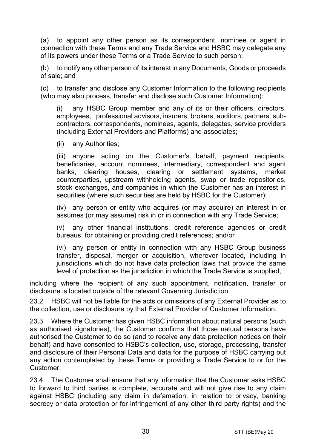<span id="page-29-0"></span>(a) to appoint any other person as its correspondent, nominee or agent in connection with these Terms and any Trade Service and HSBC may delegate any of its powers under these Terms or a Trade Service to such person;

(b) to notify any other person of its interest in any Documents, Goods or proceeds of sale; and

(c) to transfer and disclose any Customer Information to the following recipients (who may also process, transfer and disclose such Customer Information):

(i) any HSBC Group member and any of its or their officers, directors, employees, professional advisors, insurers, brokers, auditors, partners, subcontractors, correspondents, nominees, agents, delegates, service providers (including External Providers and Platforms) and associates;

(ii) any Authorities;

(iii) anyone acting on the Customer's behalf, payment recipients, beneficiaries, account nominees, intermediary, correspondent and agent banks, clearing houses, clearing or settlement systems, market counterparties, upstream withholding agents, swap or trade repositories, stock exchanges, and companies in which the Customer has an interest in securities (where such securities are held by HSBC for the Customer);

(iv) any person or entity who acquires (or may acquire) an interest in or assumes (or may assume) risk in or in connection with any Trade Service;

(v) any other financial institutions, credit reference agencies or credit bureaus, for obtaining or providing credit references; and/or

(vi) any person or entity in connection with any HSBC Group business transfer, disposal, merger or acquisition, wherever located, including in jurisdictions which do not have data protection laws that provide the same level of protection as the jurisdiction in which the Trade Service is supplied,

including where the recipient of any such appointment, notification, transfer or disclosure is located outside of the relevant Governing Jurisdiction.

23.2 HSBC will not be liable for the acts or omissions of any External Provider as to the collection, use or disclosure by that External Provider of Customer Information.

23.3 Where the Customer has given HSBC information about natural persons (such as authorised signatories), the Customer confirms that those natural persons have authorised the Customer to do so (and to receive any data protection notices on their behalf) and have consented to HSBC's collection, use, storage, processing, transfer and disclosure of their Personal Data and data for the purpose of HSBC carrying out any action contemplated by these Terms or providing a Trade Service to or for the Customer.

23.4 The Customer shall ensure that any information that the Customer asks HSBC to forward to third parties is complete, accurate and will not give rise to any claim against HSBC (including any claim in defamation, in relation to privacy, banking secrecy or data protection or for infringement of any other third party rights) and the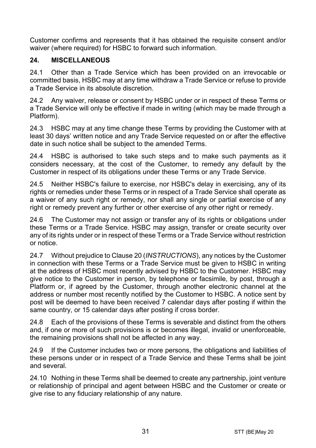Customer confirms and represents that it has obtained the requisite consent and/or waiver (where required) for HSBC to forward such information.

#### **24. MISCELLANEOUS**

24.1 Other than a Trade Service which has been provided on an irrevocable or committed basis, HSBC may at any time withdraw a Trade Service or refuse to provide a Trade Service in its absolute discretion.

24.2 Any waiver, release or consent by HSBC under or in respect of these Terms or a Trade Service will only be effective if made in writing (which may be made through a Platform).

24.3 HSBC may at any time change these Terms by providing the Customer with at least 30 days' written notice and any Trade Service requested on or after the effective date in such notice shall be subject to the amended Terms.

24.4 HSBC is authorised to take such steps and to make such payments as it considers necessary, at the cost of the Customer, to remedy any default by the Customer in respect of its obligations under these Terms or any Trade Service.

24.5 Neither HSBC's failure to exercise, nor HSBC's delay in exercising, any of its rights or remedies under these Terms or in respect of a Trade Service shall operate as a waiver of any such right or remedy, nor shall any single or partial exercise of any right or remedy prevent any further or other exercise of any other right or remedy.

24.6 The Customer may not assign or transfer any of its rights or obligations under these Terms or a Trade Service. HSBC may assign, transfer or create security over any of its rights under or in respect of these Terms or a Trade Service without restriction or notice.

24.7 Without prejudice to Claus[e 20](#page-24-0) (*[INSTRUCTIONS](#page-24-0)*), any notices by the Customer in connection with these Terms or a Trade Service must be given to HSBC in writing at the address of HSBC most recently advised by HSBC to the Customer. HSBC may give notice to the Customer in person, by telephone or facsimile, by post, through a Platform or, if agreed by the Customer, through another electronic channel at the address or number most recently notified by the Customer to HSBC. A notice sent by post will be deemed to have been received 7 calendar days after posting if within the same country, or 15 calendar days after posting if cross border.

24.8 Each of the provisions of these Terms is severable and distinct from the others and, if one or more of such provisions is or becomes illegal, invalid or unenforceable, the remaining provisions shall not be affected in any way.

24.9 If the Customer includes two or more persons, the obligations and liabilities of these persons under or in respect of a Trade Service and these Terms shall be joint and several.

24.10 Nothing in these Terms shall be deemed to create any partnership, joint venture or relationship of principal and agent between HSBC and the Customer or create or give rise to any fiduciary relationship of any nature.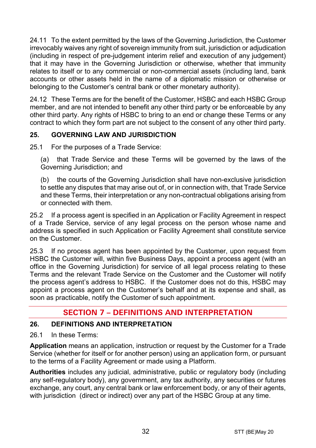24.11 To the extent permitted by the laws of the Governing Jurisdiction, the Customer irrevocably waives any right of sovereign immunity from suit, jurisdiction or adjudication (including in respect of pre-judgement interim relief and execution of any judgement) that it may have in the Governing Jurisdiction or otherwise, whether that immunity relates to itself or to any commercial or non-commercial assets (including land, bank accounts or other assets held in the name of a diplomatic mission or otherwise or belonging to the Customer's central bank or other monetary authority).

24.12 These Terms are for the benefit of the Customer, HSBC and each HSBC Group member, and are not intended to benefit any other third party or be enforceable by any other third party. Any rights of HSBC to bring to an end or change these Terms or any contract to which they form part are not subject to the consent of any other third party.

# **25. GOVERNING LAW AND JURISDICTION**

25.1 For the purposes of a Trade Service:

(a) that Trade Service and these Terms will be governed by the laws of the Governing Jurisdiction; and

(b) the courts of the Governing Jurisdiction shall have non-exclusive jurisdiction to settle any disputes that may arise out of, or in connection with, that Trade Service and these Terms, their interpretation or any non-contractual obligations arising from or connected with them.

25.2 If a process agent is specified in an Application or Facility Agreement in respect of a Trade Service, service of any legal process on the person whose name and address is specified in such Application or Facility Agreement shall constitute service on the Customer.

25.3 If no process agent has been appointed by the Customer, upon request from HSBC the Customer will, within five Business Days, appoint a process agent (with an office in the Governing Jurisdiction) for service of all legal process relating to these Terms and the relevant Trade Service on the Customer and the Customer will notify the process agent's address to HSBC. If the Customer does not do this, HSBC may appoint a process agent on the Customer's behalf and at its expense and shall, as soon as practicable, notify the Customer of such appointment.

# **SECTION 7 – DEFINITIONS AND INTERPRETATION**

#### **26. DEFINITIONS AND INTERPRETATION**

26.1 In these Terms:

**Application** means an application, instruction or request by the Customer for a Trade Service (whether for itself or for another person) using an application form, or pursuant to the terms of a Facility Agreement or made using a Platform.

**Authorities** includes any judicial, administrative, public or regulatory body (including any self-regulatory body), any government, any tax authority, any securities or futures exchange, any court, any central bank or law enforcement body, or any of their agents, with jurisdiction (direct or indirect) over any part of the HSBC Group at any time.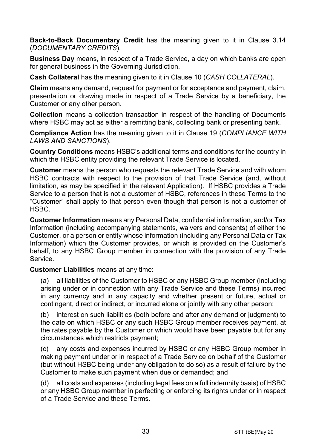**Back-to-Back Documentary Credit** has the meaning given to it in Clause [3.14](#page-5-0) (*[DOCUMENTARY CREDITS](#page-3-0)*).

**Business Day** means, in respect of a Trade Service, a day on which banks are open for general business in the Governing Jurisdiction.

**Cash Collateral** has the meaning given to it in Clause [10](#page-14-1) (*[CASH COLLATERAL](#page-14-1)*).

**Claim** means any demand, request for payment or for acceptance and payment, claim, presentation or drawing made in respect of a Trade Service by a beneficiary, the Customer or any other person.

**Collection** means a collection transaction in respect of the handling of Documents where HSBC may act as either a remitting bank, collecting bank or presenting bank.

**Compliance Action** has the meaning given to it in Clause [19](#page-22-0) (*[COMPLIANCE WITH](#page-22-0)  [LAWS AND SANCTIONS](#page-22-0)*).

**Country Conditions** means HSBC's additional terms and conditions for the country in which the HSBC entity providing the relevant Trade Service is located.

**Customer** means the person who requests the relevant Trade Service and with whom HSBC contracts with respect to the provision of that Trade Service (and, without limitation, as may be specified in the relevant Application). If HSBC provides a Trade Service to a person that is not a customer of HSBC, references in these Terms to the "Customer" shall apply to that person even though that person is not a customer of HSBC.

**Customer Information** means any Personal Data, confidential information, and/or Tax Information (including accompanying statements, waivers and consents) of either the Customer, or a person or entity whose information (including any Personal Data or Tax Information) which the Customer provides, or which is provided on the Customer's behalf, to any HSBC Group member in connection with the provision of any Trade Service.

**Customer Liabilities** means at any time:

(a) all liabilities of the Customer to HSBC or any HSBC Group member (including arising under or in connection with any Trade Service and these Terms) incurred in any currency and in any capacity and whether present or future, actual or contingent, direct or indirect, or incurred alone or jointly with any other person;

(b) interest on such liabilities (both before and after any demand or judgment) to the date on which HSBC or any such HSBC Group member receives payment, at the rates payable by the Customer or which would have been payable but for any circumstances which restricts payment;

(c) any costs and expenses incurred by HSBC or any HSBC Group member in making payment under or in respect of a Trade Service on behalf of the Customer (but without HSBC being under any obligation to do so) as a result of failure by the Customer to make such payment when due or demanded; and

(d) all costs and expenses (including legal fees on a full indemnity basis) of HSBC or any HSBC Group member in perfecting or enforcing its rights under or in respect of a Trade Service and these Terms.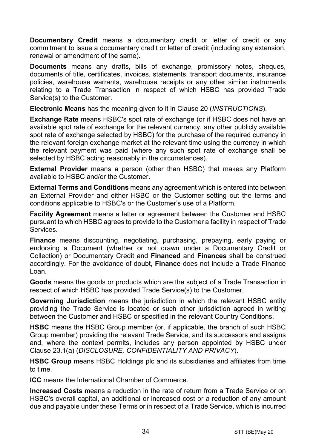**Documentary Credit** means a documentary credit or letter of credit or any commitment to issue a documentary credit or letter of credit (including any extension. renewal or amendment of the same).

**Documents** means any drafts, bills of exchange, promissory notes, cheques, documents of title, certificates, invoices, statements, transport documents, insurance policies, warehouse warrants, warehouse receipts or any other similar instruments relating to a Trade Transaction in respect of which HSBC has provided Trade Service(s) to the Customer.

**Electronic Means** has the meaning given to it in Clause [20](#page-24-0) (*[INSTRUCTIONS](#page-24-0)*).

**Exchange Rate** means HSBC's spot rate of exchange (or if HSBC does not have an available spot rate of exchange for the relevant currency, any other publicly available spot rate of exchange selected by HSBC) for the purchase of the required currency in the relevant foreign exchange market at the relevant time using the currency in which the relevant payment was paid (where any such spot rate of exchange shall be selected by HSBC acting reasonably in the circumstances).

**External Provider** means a person (other than HSBC) that makes any Platform available to HSBC and/or the Customer.

**External Terms and Conditions** means any agreement which is entered into between an External Provider and either HSBC or the Customer setting out the terms and conditions applicable to HSBC's or the Customer's use of a Platform.

**Facility Agreement** means a letter or agreement between the Customer and HSBC pursuant to which HSBC agrees to provide to the Customer a facility in respect of Trade Services.

**Finance** means discounting, negotiating, purchasing, prepaying, early paying or endorsing a Document (whether or not drawn under a Documentary Credit or Collection) or Documentary Credit and **Financed** and **Finances** shall be construed accordingly. For the avoidance of doubt, **Finance** does not include a Trade Finance Loan.

**Goods** means the goods or products which are the subject of a Trade Transaction in respect of which HSBC has provided Trade Service(s) to the Customer.

**Governing Jurisdiction** means the jurisdiction in which the relevant HSBC entity providing the Trade Service is located or such other jurisdiction agreed in writing between the Customer and HSBC or specified in the relevant Country Conditions.

**HSBC** means the HSBC Group member (or, if applicable, the branch of such HSBC Group member) providing the relevant Trade Service, and its successors and assigns and, where the context permits, includes any person appointed by HSBC under Clause [23.1\(a\)](#page-29-0) (*[DISCLOSURE, CONFIDENTIALITY AND PRIVACY](#page-28-0)*).

**HSBC Group** means HSBC Holdings plc and its subsidiaries and affiliates from time to time.

**ICC** means the International Chamber of Commerce.

**Increased Costs** means a reduction in the rate of return from a Trade Service or on HSBC's overall capital, an additional or increased cost or a reduction of any amount due and payable under these Terms or in respect of a Trade Service, which is incurred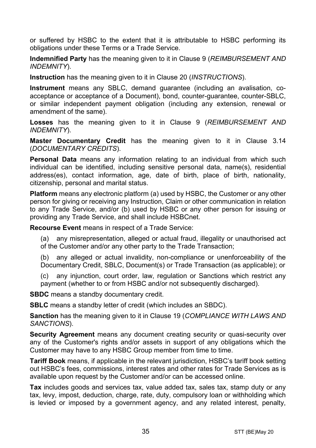or suffered by HSBC to the extent that it is attributable to HSBC performing its obligations under these Terms or a Trade Service.

**Indemnified Party** has the meaning given to it in Claus[e 9](#page-13-0) (*[REIMBURSEMENT AND](#page-13-0)  [INDEMNITY](#page-13-0)*).

**Instruction** has the meaning given to it in Clause [20](#page-24-0) (*[INSTRUCTIONS](#page-24-0)*).

**Instrument** means any SBLC, demand guarantee (including an avalisation, coacceptance or acceptance of a Document), bond, counter-guarantee, counter-SBLC, or similar independent payment obligation (including any extension, renewal or amendment of the same).

**Losses** has the meaning given to it in Clause [9](#page-13-0) (*[REIMBURSEMENT AND](#page-13-0)  [INDEMNITY](#page-13-0)*).

**Master Documentary Credit** has the meaning given to it in Clause [3.14](#page-5-0) (*[DOCUMENTARY CREDITS](#page-3-0)*).

**Personal Data** means any information relating to an individual from which such individual can be identified, including sensitive personal data, name(s), residential address(es), contact information, age, date of birth, place of birth, nationality, citizenship, personal and marital status.

**Platform** means any electronic platform (a) used by HSBC, the Customer or any other person for giving or receiving any Instruction, Claim or other communication in relation to any Trade Service, and/or (b) used by HSBC or any other person for issuing or providing any Trade Service, and shall include HSBCnet.

**Recourse Event** means in respect of a Trade Service:

(a) any misrepresentation, alleged or actual fraud, illegality or unauthorised act of the Customer and/or any other party to the Trade Transaction;

(b) any alleged or actual invalidity, non-compliance or unenforceability of the Documentary Credit, SBLC, Document(s) or Trade Transaction (as applicable); or

(c) any injunction, court order, law, regulation or Sanctions which restrict any payment (whether to or from HSBC and/or not subsequently discharged).

**SBDC** means a standby documentary credit.

**SBLC** means a standby letter of credit (which includes an SBDC).

**Sanction** has the meaning given to it in Clause [19](#page-22-0) (*[COMPLIANCE WITH LAWS AND](#page-22-0)  [SANCTIONS](#page-22-0)*).

**Security Agreement** means any document creating security or quasi-security over any of the Customer's rights and/or assets in support of any obligations which the Customer may have to any HSBC Group member from time to time.

**Tariff Book** means, if applicable in the relevant jurisdiction, HSBC's tariff book setting out HSBC's fees, commissions, interest rates and other rates for Trade Services as is available upon request by the Customer and/or can be accessed online.

**Tax** includes goods and services tax, value added tax, sales tax, stamp duty or any tax, levy, impost, deduction, charge, rate, duty, compulsory loan or withholding which is levied or imposed by a government agency, and any related interest, penalty,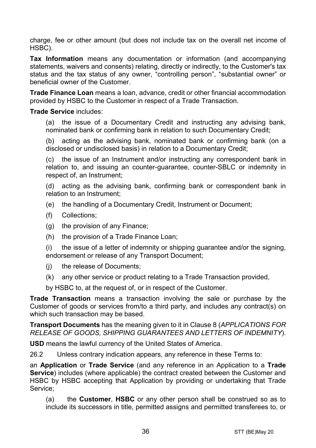charge, fee or other amount (but does not include tax on the overall net income of HSBC).

**Tax Information** means any documentation or information (and accompanying statements, waivers and consents) relating, directly or indirectly, to the Customer's tax status and the tax status of any owner, "controlling person", "substantial owner" or beneficial owner of the Customer.

**Trade Finance Loan** means a loan, advance, credit or other financial accommodation provided by HSBC to the Customer in respect of a Trade Transaction.

#### **Trade Service** includes:

(a) the issue of a Documentary Credit and instructing any advising bank, nominated bank or confirming bank in relation to such Documentary Credit;

(b) acting as the advising bank, nominated bank or confirming bank (on a disclosed or undisclosed basis) in relation to a Documentary Credit;

(c) the issue of an Instrument and/or instructing any correspondent bank in relation to, and issuing an counter-guarantee, counter-SBLC or indemnity in respect of, an Instrument;

(d) acting as the advising bank, confirming bank or correspondent bank in relation to an Instrument;

- (e) the handling of a Documentary Credit, Instrument or Document;
- (f) Collections;
- (g) the provision of any Finance;
- (h) the provision of a Trade Finance Loan;

(i) the issue of a letter of indemnity or shipping guarantee and/or the signing, endorsement or release of any Transport Document;

- (j) the release of Documents;
- (k) any other service or product relating to a Trade Transaction provided,

by HSBC to, at the request of, or in respect of the Customer.

**Trade Transaction** means a transaction involving the sale or purchase by the Customer of goods or services from/to a third party, and includes any contract(s) on which such transaction may be based.

**Transport Documents** has the meaning given to it in Clause [8](#page-12-0) (*[APPLICATIONS FOR](#page-12-0)  [RELEASE OF GOODS, SHIPPING GUARANTEES AND](#page-12-0) LETTERS OF INDEMNITY*).

**USD** means the lawful currency of the United States of America.

26.2 Unless contrary indication appears, any reference in these Terms to:

an **Application** or **Trade Service** (and any reference in an Application to a **Trade Service**) includes (where applicable) the contract created between the Customer and HSBC by HSBC accepting that Application by providing or undertaking that Trade Service;

(a) the **Customer**, **HSBC** or any other person shall be construed so as to include its successors in title, permitted assigns and permitted transferees to, or